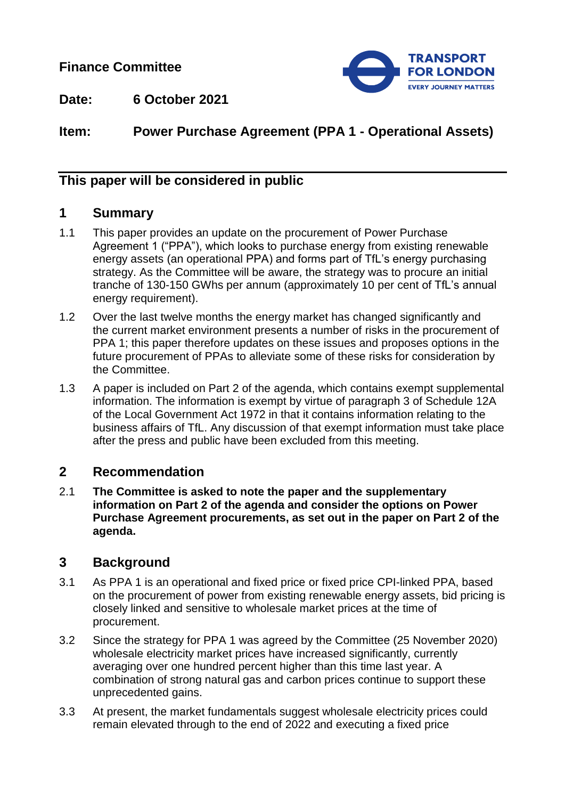**Finance Committee**



**Date: 6 October 2021**

# **Item: Power Purchase Agreement (PPA 1 - Operational Assets)**

## **This paper will be considered in public**

## **1 Summary**

- 1.1 This paper provides an update on the procurement of Power Purchase Agreement 1 ("PPA"), which looks to purchase energy from existing renewable energy assets (an operational PPA) and forms part of TfL's energy purchasing strategy. As the Committee will be aware, the strategy was to procure an initial tranche of 130-150 GWhs per annum (approximately 10 per cent of TfL's annual energy requirement).
- 1.2 Over the last twelve months the energy market has changed significantly and the current market environment presents a number of risks in the procurement of PPA 1; this paper therefore updates on these issues and proposes options in the future procurement of PPAs to alleviate some of these risks for consideration by the Committee.
- 1.3 A paper is included on Part 2 of the agenda, which contains exempt supplemental information. The information is exempt by virtue of paragraph 3 of Schedule 12A of the Local Government Act 1972 in that it contains information relating to the business affairs of TfL. Any discussion of that exempt information must take place after the press and public have been excluded from this meeting.

### **2 Recommendation**

2.1 **The Committee is asked to note the paper and the supplementary information on Part 2 of the agenda and consider the options on Power Purchase Agreement procurements, as set out in the paper on Part 2 of the agenda.**

## **3 Background**

- 3.1 As PPA 1 is an operational and fixed price or fixed price CPI-linked PPA, based on the procurement of power from existing renewable energy assets, bid pricing is closely linked and sensitive to wholesale market prices at the time of procurement.
- 3.2 Since the strategy for PPA 1 was agreed by the Committee (25 November 2020) wholesale electricity market prices have increased significantly, currently averaging over one hundred percent higher than this time last year. A combination of strong natural gas and carbon prices continue to support these unprecedented gains.
- 3.3 At present, the market fundamentals suggest wholesale electricity prices could remain elevated through to the end of 2022 and executing a fixed price